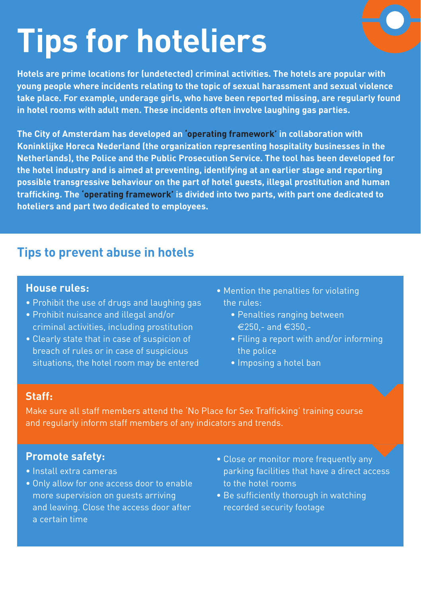## **Tips for hoteliers**

**Hotels are prime locations for (undetected) criminal activities. The hotels are popular with young people where incidents relating to the topic of sexual harassment and sexual violence take place. For example, underage girls, who have been reported missing, are regularly found in hotel rooms with adult men. These incidents often involve laughing gas parties.** 

**The City of Amsterdam has developed an 'operating framework' in collaboration with Koninklijke Horeca Nederland (the organization representing hospitality businesses in the Netherlands), the Police and the Public Prosecution Service. The tool has been developed for the hotel industry and is aimed at preventing, identifying at an earlier stage and reporting possible transgressive behaviour on the part of hotel guests, illegal prostitution and human trafficking. The 'operating framework' is divided into two parts, with part one dedicated to hoteliers and part two dedicated to employees.**

## **Tips to prevent abuse in hotels**

#### **House rules:**

- Prohibit the use of drugs and laughing gas
- Prohibit nuisance and illegal and/or criminal activities, including prostitution
- Clearly state that in case of suspicion of breach of rules or in case of suspicious situations, the hotel room may be entered
- Mention the penalties for violating the rules:
	- Penalties ranging between €250,- and €350,-
	- Filing a report with and/or informing the police
	- Imposing a hotel ban

### **Staff:**

Make sure all staff members attend the 'No Place for Sex Trafficking' training course and regularly inform staff members of any indicators and trends.

## **Promote safety:**

- Install extra cameras
- Only allow for one access door to enable more supervision on guests arriving and leaving. Close the access door after a certain time
- Close or monitor more frequently any parking facilities that have a direct access to the hotel rooms
- Be sufficiently thorough in watching recorded security footage